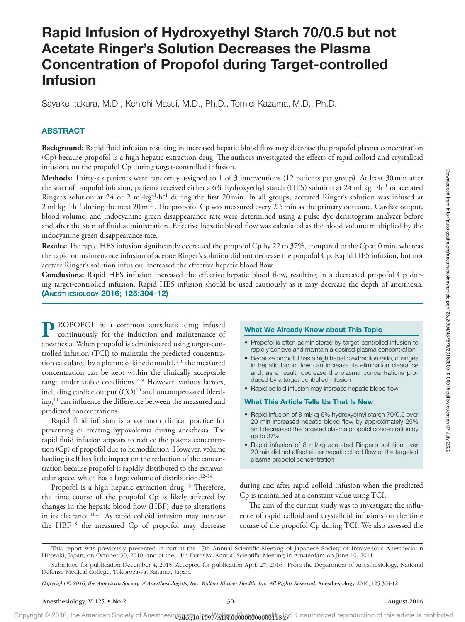# Rapid Infusion of Hydroxyethyl Starch 70/0.5 but not Acetate Ringer's Solution Decreases the Plasma Concentration of Propofol during Target-controlled Infusion

Sayako Itakura, M.D., Kenichi Masui, M.D., Ph.D., Tomiei Kazama, M.D., Ph.D.

# ABSTRACT

**Background:** Rapid fluid infusion resulting in increased hepatic blood flow may decrease the propofol plasma concentration (Cp) because propofol is a high hepatic extraction drug. The authors investigated the effects of rapid colloid and crystalloid infusions on the propofol Cp during target-controlled infusion.

**Methods:** Thirty-six patients were randomly assigned to 1 of 3 interventions (12 patients per group). At least 30min after the start of propofol infusion, patients received either a 6% hydroxyethyl starch (HES) solution at 24 ml·kg−1·h−1 or acetated Ringer's solution at 24 or 2 ml·kg−1·h−1 during the first 20min. In all groups, acetated Ringer's solution was infused at 2 ml·kg<sup>-1</sup>·h<sup>-1</sup> during the next 20 min. The propofol Cp was measured every 2.5 min as the primary outcome. Cardiac output, blood volume, and indocyanine green disappearance rate were determined using a pulse dye densitogram analyzer before and after the start of fluid administration. Effective hepatic blood flow was calculated as the blood volume multiplied by the indocyanine green disappearance rate.

**Results:** The rapid HES infusion significantly decreased the propofol Cp by 22 to 37%, compared to the Cp at 0min, whereas the rapid or maintenance infusion of acetate Ringer's solution did not decrease the propofol Cp. Rapid HES infusion, but not acetate Ringer's solution infusion, increased the effective hepatic blood flow.

**Conclusions:** Rapid HES infusion increased the effective hepatic blood flow, resulting in a decreased propofol Cp during target-controlled infusion. Rapid HES infusion should be used cautiously as it may decrease the depth of anesthesia. (Anesthesiology 2016; 125:304-12)

**P** ROPOFOL is a common anesthetic drug infused continuously for the induction and maintenance of anesthesia. When propofol is administered using target-controlled infusion (TCI) to maintain the predicted concentration calculated by a pharmacokinetic model,<sup>1-6</sup> the measured concentration can be kept within the clinically acceptable range under stable conditions.<sup>7-9</sup> However, various factors, including cardiac output (CO) 10 and uncompensated bleeding,<sup>11</sup> can influence the difference between the measured and predicted concentrations.

Rapid fluid infusion is a common clinical practice for preventing or treating hypovolemia during anesthesia. The rapid fluid infusion appears to reduce the plasma concentration (Cp) of propofol due to hemodilution. However, volume loading itself has little impact on the reduction of the concentration because propofol is rapidly distributed to the extravascular space, which has a large volume of distribution.<sup>12-14</sup>

Propofol is a high hepatic extraction drug.<sup>15</sup> Therefore, the time course of the propofol Cp is likely affected by changes in the hepatic blood flow (HBF) due to alterations in its clearance.16,17 As rapid colloid infusion may increase the HBF, 18 the measured Cp of propofol may decrease

# What We Already Know about This Topic

- • Propofol is often administered by target-controlled infusion to rapidly achieve and maintain a desired plasma concentration
- Because propofol has a high hepatic extraction ratio, changes in hepatic blood flow can increase its elimination clearance and, as a result, decrease the plasma concentrations produced by a target-controlled infusion
- Rapid colloid infusion may increase hepatic blood flow

# What This Article Tells Us That Is New

- Rapid infusion of 8 ml/kg 6% hydroxyethyl starch 70/0.5 over 20 min increased hepatic blood flow by approximately 25% and decreased the targeted plasma propofol concentration by up to 37%
- Rapid infusion of 8 ml/kg acetated Ringer's solution over 20 min did not affect either hepatic blood flow or the targeted plasma propofol concentration

during and after rapid colloid infusion when the predicted Cp is maintained at a constant value using TCI.

The aim of the current study was to investigate the influence of rapid colloid and crystalloid infusions on the time course of the propofol Cp during TCI. We also assessed the

This report was previously presented in part at the 17th Annual Scientific Meeting of Japanese Society of Intravenous Anesthesia in Hirosaki, Japan, on October 30, 2010, and at the 14th Eurosiva Annual Scientific Meeting in Amsterdam on June 10, 2011.

Submitted for publication December 4, 2015. Accepted for publication April 27, 2016. From the Department of Anesthesiology, National Defense Medical College, Tokorozawa, Saitama, Japan.

*Copyright © 2016, the American Society of Anesthesiologists, Inc. Wolters Kluwer Health, Inc. All Rights Reserved.* Anesthesiology 2016; 125:304-12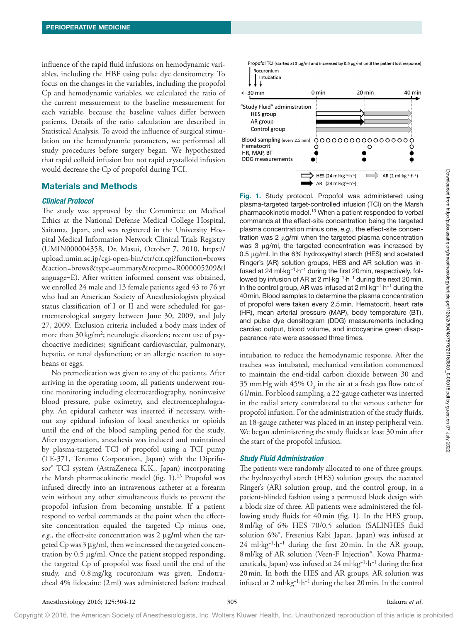influence of the rapid fluid infusions on hemodynamic variables, including the HBF using pulse dye densitometry. To focus on the changes in the variables, including the propofol Cp and hemodynamic variables, we calculated the ratio of the current measurement to the baseline measurement for each variable, because the baseline values differ between patients. Details of the ratio calculation are described in Statistical Analysis. To avoid the influence of surgical stimulation on the hemodynamic parameters, we performed all study procedures before surgery began. We hypothesized that rapid colloid infusion but not rapid crystalloid infusion would decrease the Cp of propofol during TCI.

# Materials and Methods

### *Clinical Protocol*

The study was approved by the Committee on Medical Ethics at the National Defense Medical College Hospital, Saitama, Japan, and was registered in the University Hospital Medical Information Network Clinical Trials Registry (UMIN000004358, Dr. Masui, October 7, 2010, [https://](https://upload.umin.ac.jp/cgi-open-bin/ctr/ctr.cgi?function=brows&action=brows&type=summary&recptno=R000005209&language=E) [upload.umin.ac.jp/cgi-open-bin/ctr/ctr.cgi?function=brows](https://upload.umin.ac.jp/cgi-open-bin/ctr/ctr.cgi?function=brows&action=brows&type=summary&recptno=R000005209&language=E) [&action=brows&type=summary&recptno=R000005209&l](https://upload.umin.ac.jp/cgi-open-bin/ctr/ctr.cgi?function=brows&action=brows&type=summary&recptno=R000005209&language=E) [anguage=E\)](https://upload.umin.ac.jp/cgi-open-bin/ctr/ctr.cgi?function=brows&action=brows&type=summary&recptno=R000005209&language=E). After written informed consent was obtained, we enrolled 24 male and 13 female patients aged 43 to 76 yr who had an American Society of Anesthesiologists physical status classification of I or II and were scheduled for gastroenterological surgery between June 30, 2009, and July 27, 2009. Exclusion criteria included a body mass index of more than 30 kg/m<sup>2</sup>; neurologic disorders; recent use of psychoactive medicines; significant cardiovascular, pulmonary, hepatic, or renal dysfunction; or an allergic reaction to soybeans or eggs.

No premedication was given to any of the patients. After arriving in the operating room, all patients underwent routine monitoring including electrocardiography, noninvasive blood pressure, pulse oximetry, and electroencephalography. An epidural catheter was inserted if necessary, without any epidural infusion of local anesthetics or opioids until the end of the blood sampling period for the study. After oxygenation, anesthesia was induced and maintained by plasma-targeted TCI of propofol using a TCI pump (TE-371, Terumo Corporation, Japan) with the Diprifusor® TCI system (AstraZeneca K.K., Japan) incorporating the Marsh pharmacokinetic model (fig. 1). <sup>13</sup> Propofol was infused directly into an intravenous catheter at a forearm vein without any other simultaneous fluids to prevent the propofol infusion from becoming unstable. If a patient respond to verbal commands at the point when the effectsite concentration equaled the targeted Cp minus one, *e.g.*, the effect-site concentration was 2 μg**/**ml when the targeted Cp was 3 μg/ml, then we increased the targeted concentration by 0.5 μg/ml. Once the patient stopped responding, the targeted Cp of propofol was fixed until the end of the study, and 0.8mg/kg rocuronium was given. Endotracheal 4% lidocaine (2ml) was administered before tracheal



Fig. 1. Study protocol. Propofol was administered using plasma-targeted target-controlled infusion (TCI) on the Marsh pharmacokinetic model.13 When a patient responded to verbal commands at the effect-site concentration being the targeted plasma concentration minus one, *e.g.*, the effect-site concentration was 2 μg/ml when the targeted plasma concentration was 3 μg/ml, the targeted concentration was increased by 0.5 μg/ml. In the 6% hydroxyethyl starch (HES) and acetated Ringer's (AR) solution groups, HES and AR solution was infused at 24 ml·kg−1·h−1 during the first 20min, respectively, followed by infusion of AR at 2 ml·kg−1·h−1 during the next 20min. In the control group, AR was infused at 2 ml·kg−1·h−1 during the 40min. Blood samples to determine the plasma concentration of propofol were taken every 2.5min. Hematocrit, heart rate (HR), mean arterial pressure (MAP), body temperature (BT), and pulse dye densitogram (DDG) measurements including cardiac output, blood volume, and indocyanine green disappearance rate were assessed three times.

intubation to reduce the hemodynamic response. After the trachea was intubated, mechanical ventilation commenced to maintain the end-tidal carbon dioxide between 30 and 35 mmHg with 45%  $\text{O}_2$  in the air at a fresh gas flow rate of 6 l/min. For blood sampling, a 22-gauge catheter was inserted in the radial artery contralateral to the venous catheter for propofol infusion. For the administration of the study fluids, an 18-gauge catheter was placed in an instep peripheral vein. We began administering the study fluids at least 30min after the start of the propofol infusion.

## *Study Fluid Administration*

The patients were randomly allocated to one of three groups: the hydroxyethyl starch (HES) solution group, the acetated Ringer's (AR) solution group, and the control group, in a patient-blinded fashion using a permuted block design with a block size of three. All patients were administered the following study fluids for 40min (fig. 1). In the HES group, 8ml/kg of 6% HES 70/0.5 solution (SALINHES fluid solution 6%®, Fresenius Kabi Japan, Japan) was infused at 24 ml·kg−1·h−1 during the first 20min. In the AR group, 8ml/kg of AR solution (Veen-F Injection®, Kowa Pharmaceuticals, Japan) was infused at 24 ml·kg−1·h−1 during the first 20min. In both the HES and AR groups, AR solution was infused at 2 ml·kg−1·h−1 during the last 20min. In the control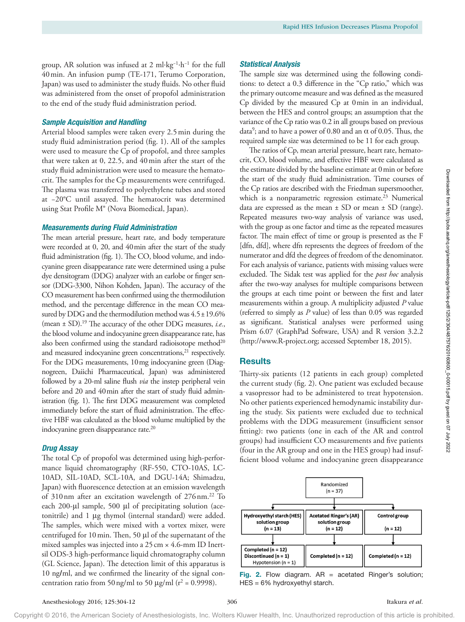group, AR solution was infused at 2 ml·kg−1·h−1 for the full 40min. An infusion pump (TE-171, Terumo Corporation, Japan) was used to administer the study fluids. No other fluid was administered from the onset of propofol administration to the end of the study fluid administration period.

## *Sample Acquisition and Handling*

Arterial blood samples were taken every 2.5min during the study fluid administration period (fig. 1). All of the samples were used to measure the Cp of propofol, and three samples that were taken at 0, 22.5, and 40min after the start of the study fluid administration were used to measure the hematocrit. The samples for the Cp measurements were centrifuged. The plasma was transferred to polyethylene tubes and stored at −20°C until assayed. The hematocrit was determined using Stat Profile M® (Nova Biomedical, Japan).

#### *Measurements during Fluid Administration*

The mean arterial pressure, heart rate, and body temperature were recorded at 0, 20, and 40min after the start of the study fluid administration (fig. 1). The CO, blood volume, and indocyanine green disappearance rate were determined using a pulse dye densitogram (DDG) analyzer with an earlobe or finger sensor (DDG-3300, Nihon Kohden, Japan). The accuracy of the CO measurement has been confirmed using the thermodilution method, and the percentage difference in the mean CO measured by DDG and the thermodilution method was  $4.5 \pm 19.6\%$ (mean ± SD).19 The accuracy of the other DDG measures, *i.e.*, the blood volume and indocyanine green disappearance rate, has also been confirmed using the standard radioisotope method $20$ and measured indocyanine green concentrations,<sup>21</sup> respectively. For the DDG measurements, 10mg indocyanine green (Diagnogreen, Daiichi Pharmaceutical, Japan) was administered followed by a 20-ml saline flush *via* the instep peripheral vein before and 20 and 40min after the start of study fluid administration (fig. 1). The first DDG measurement was completed immediately before the start of fluid administration. The effective HBF was calculated as the blood volume multiplied by the indocyanine green disappearance rate.<sup>20</sup>

## *Drug Assay*

The total Cp of propofol was determined using high-performance liquid chromatography (RF-550, CTO-10AS, LC-10AD, SIL-10AD, SCL-10A, and DGU-14A; Shimadzu, Japan) with fluorescence detection at an emission wavelength of 310nm after an excitation wavelength of 276nm.<sup>22</sup> To each 200-μl sample, 500 μl of precipitating solution (acetonitrile) and 1 μg thymol (internal standard) were added. The samples, which were mixed with a vortex mixer, were centrifuged for 10min. Then, 50 μl of the supernatant of the mixed samples was injected into a  $25 \text{ cm} \times 4.6 \text{-mm}$  ID Inertsil ODS-3 high-performance liquid chromatography column (GL Science, Japan). The detection limit of this apparatus is 10 ng**/**ml, and we confirmed the linearity of the signal concentration ratio from 50 ng/ml to 50  $\mu$ g/ml (r<sup>2</sup> = 0.9998).

#### *Statistical Analysis*

The sample size was determined using the following conditions: to detect a 0.3 difference in the "Cp ratio," which was the primary outcome measure and was defined as the measured Cp divided by the measured Cp at 0min in an individual, between the HES and control groups; an assumption that the variance of the Cp ratio was 0.2 in all groups based on previous data<sup>9</sup>; and to have a power of 0.80 and an  $\alpha$  of 0.05. Thus, the required sample size was determined to be 11 for each group.

The ratios of Cp, mean arterial pressure, heart rate, hematocrit, CO, blood volume, and effective HBF were calculated as the estimate divided by the baseline estimate at 0min or before the start of the study fluid administration. Time courses of the Cp ratios are described with the Friedman supersmoother, which is a nonparametric regression estimate.<sup>23</sup> Numerical data are expressed as the mean  $\pm$  SD or mean  $\pm$  SD (range). Repeated measures two-way analysis of variance was used, with the group as one factor and time as the repeated measures factor. The main effect of time or group is presented as the F [dfn, dfd], where dfn represents the degrees of freedom of the numerator and dfd the degrees of freedom of the denominator. For each analysis of variance, patients with missing values were excluded. The Sidak test was applied for the *post hoc* analysis after the two-way analyses for multiple comparisons between the groups at each time point or between the first and later measurements within a group. A multiplicity adjusted *P* value (referred to simply as *P* value) of less than 0.05 was regarded as significant. Statistical analyses were performed using Prism 6.07 (GraphPad Software, USA) and R version 3.2.2 (<http://www.R-project.org>; accessed September 18, 2015).

## **Results**

Thirty-six patients (12 patients in each group) completed the current study (fig. 2). One patient was excluded because a vasopressor had to be administered to treat hypotension. No other patients experienced hemodynamic instability during the study. Six patients were excluded due to technical problems with the DDG measurement (insufficient sensor fitting): two patients (one in each of the AR and control groups) had insufficient CO measurements and five patients (four in the AR group and one in the HES group) had insufficient blood volume and indocyanine green disappearance



Fig. 2. Flow diagram.  $AR =$  acetated Ringer's solution; HES = 6% hydroxyethyl starch.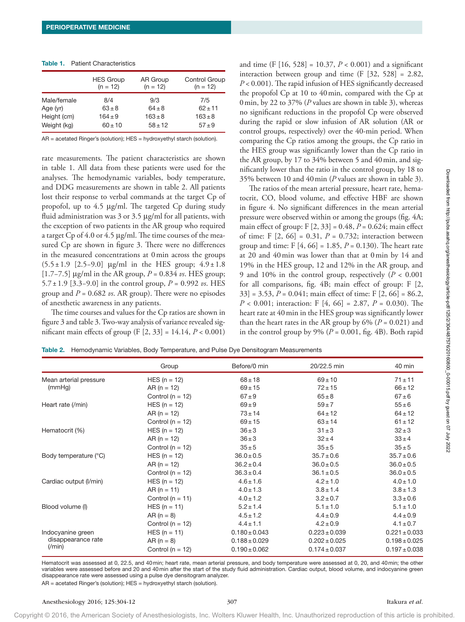|             | <b>HES Group</b> | AR Group    | <b>Control Group</b> |  |  |
|-------------|------------------|-------------|----------------------|--|--|
|             | $(n = 12)$       | $(n = 12)$  | $(n = 12)$           |  |  |
| Male/female | 8/4              | 9/3         | 7/5                  |  |  |
| Age (yr)    | $63 + 8$         | $64 \pm 8$  | $62 + 11$            |  |  |
| Height (cm) | $164 \pm 9$      | $163 \pm 8$ | $163 \pm 8$          |  |  |
| Weight (kg) | $60 \pm 10$      | $58 \pm 12$ | $57 + 9$             |  |  |

#### Table 1. Patient Characteristics

AR = acetated Ringer's (solution); HES = hydroxyethyl starch (solution).

rate measurements. The patient characteristics are shown in table 1. All data from these patients were used for the analyses. The hemodynamic variables, body temperature, and DDG measurements are shown in table 2. All patients lost their response to verbal commands at the target Cp of propofol, up to 4.5 μg/ml. The targeted Cp during study fluid administration was  $3$  or  $3.5 \mu$ g/ml for all patients, with the exception of two patients in the AR group who required a target Cp of 4.0 or 4.5 μg/ml. The time courses of the measured Cp are shown in figure 3. There were no differences in the measured concentrations at 0min across the groups (5.5±1.9 [2.5−9.0] μg/ml in the HES group; 4.9 ±1.8 [1.7−7.5] μg/ml in the AR group, *P* = 0.834 *vs*. HES group; 5.7±1.9 [3.3−9.0] in the control group, *P* = 0.992 *vs*. HES group and  $P = 0.682$  *vs*. AR group). There were no episodes of anesthetic awareness in any patients.

The time courses and values for the Cp ratios are shown in figure 3 and table 3. Two-way analysis of variance revealed significant main effects of group (F [2, 33] = 14.14, *P* < 0.001)

and time (F  $[16, 528] = 10.37$ ,  $P < 0.001$ ) and a significant interaction between group and time  $(F [32, 528] = 2.82,$ *P* < 0.001). The rapid infusion of HES significantly decreased the propofol Cp at 10 to 40min, compared with the Cp at 0min, by 22 to 37% (*P* values are shown in table 3), whereas no significant reductions in the propofol Cp were observed during the rapid or slow infusion of AR solution (AR or control groups, respectively) over the 40-min period. When comparing the Cp ratios among the groups, the Cp ratio in the HES group was significantly lower than the Cp ratio in the AR group, by 17 to 34% between 5 and 40min, and significantly lower than the ratio in the control group, by 18 to 35% between 10 and 40min (*P* values are shown in table 3).

The ratios of the mean arterial pressure, heart rate, hematocrit, CO, blood volume, and effective HBF are shown in figure 4. No significant differences in the mean arterial pressure were observed within or among the groups (fig. 4A; main effect of group: F [2, 33] = 0.48, *P* = 0.624; main effect of time: F [2, 66] = 0.31, *P* = 0.732; interaction between group and time: F [4, 66] = 1.85, *P* = 0.130). The heart rate at 20 and 40min was lower than that at 0min by 14 and 19% in the HES group, 12 and 12% in the AR group, and 9 and 10% in the control group, respectively (*P* < 0.001 for all comparisons, fig. 4B; main effect of group: F [2, 33] = 3.53, *P* = 0.041; main effect of time: F [2, 66] = 86.2, *P* < 0.001; interaction: F [4, 66] = 2.87, *P* = 0.030). The heart rate at 40 min in the HES group was significantly lower than the heart rates in the AR group by  $6\%$  ( $P = 0.021$ ) and in the control group by  $9\%$  ( $P = 0.001$ , fig. 4B). Both rapid

Table 2. Hemodynamic Variables, Body Temperature, and Pulse Dye Densitogram Measurements

|                        | Group                | Before/0 min      | 20/22.5 min       | 40 min            |
|------------------------|----------------------|-------------------|-------------------|-------------------|
| Mean arterial pressure | $HES (n = 12)$       | $68 + 18$         | $69 \pm 10$       | $71 \pm 11$       |
| (mmHg)                 | $AR (n = 12)$        | $69 + 15$         | $72 \pm 15$       | $66 \pm 12$       |
|                        | Control ( $n = 12$ ) | $67 + 9$          | $65\pm8$          | $67 \pm 6$        |
| Heart rate (/min)      | $HES (n = 12)$       | $69 \pm 9$        | $59 \pm 7$        | $55 \pm 6$        |
|                        | $AR (n = 12)$        | $73 \pm 14$       | $64 \pm 12$       | $64 \pm 12$       |
|                        | Control ( $n = 12$ ) | $69 + 15$         | $63 \pm 14$       | $61 \pm 12$       |
| Hematocrit (%)         | $HES (n = 12)$       | $36 \pm 3$        | $31 \pm 3$        | $32 \pm 3$        |
|                        | $AR (n = 12)$        | $36 \pm 3$        | $32 \pm 4$        | $33 \pm 4$        |
|                        | Control ( $n = 12$ ) | $35 \pm 5$        | $35 \pm 5$        | $35 \pm 5$        |
| Body temperature (°C)  | $HES (n = 12)$       | $36.0 \pm 0.5$    | $35.7 \pm 0.6$    | $35.7 \pm 0.6$    |
|                        | $AR (n = 12)$        | $36.2 \pm 0.4$    | $36.0 \pm 0.5$    | $36.0 \pm 0.5$    |
|                        | Control ( $n = 12$ ) | $36.3 \pm 0.4$    | $36.1 \pm 0.5$    | $36.0 \pm 0.5$    |
| Cardiac output (I/min) | $HES (n = 12)$       | $4.6 \pm 1.6$     | $4.2 \pm 1.0$     | $4.0 \pm 1.0$     |
|                        | $AR (n = 11)$        | $4.0 \pm 1.3$     | $3.8 \pm 1.4$     | $3.8 \pm 1.3$     |
|                        | Control ( $n = 11$ ) | $4.0 \pm 1.2$     | $3.2 \pm 0.7$     | $3.3 \pm 0.6$     |
| Blood volume (I)       | $HES (n = 11)$       | $5.2 \pm 1.4$     | $5.1 \pm 1.0$     | $5.1 \pm 1.0$     |
|                        | $AR (n = 8)$         | $4.5 \pm 1.2$     | $4.4 \pm 0.9$     | $4.4 \pm 0.9$     |
|                        | Control ( $n = 12$ ) | $4.4 \pm 1.1$     | $4.2 \pm 0.9$     | $4.1 \pm 0.7$     |
| Indocyanine green      | $HES (n = 11)$       | $0.180 \pm 0.043$ | $0.223 \pm 0.039$ | $0.221 \pm 0.033$ |
| disappearance rate     | $AR (n = 8)$         | $0.188 \pm 0.029$ | $0.202 \pm 0.025$ | $0.198 \pm 0.025$ |
| $(\text{min})$         | Control ( $n = 12$ ) | $0.190 \pm 0.062$ | $0.174 \pm 0.037$ | $0.197 \pm 0.038$ |

Hematocrit was assessed at 0, 22.5, and 40min; heart rate, mean arterial pressure, and body temperature were assessed at 0, 20, and 40min; the other variables were assessed before and 20 and 40min after the start of the study fluid administration. Cardiac output, blood volume, and indocyanine green disappearance rate were assessed using a pulse dye densitogram analyzer.

AR = acetated Ringer's (solution); HES = hydroxyethyl starch (solution).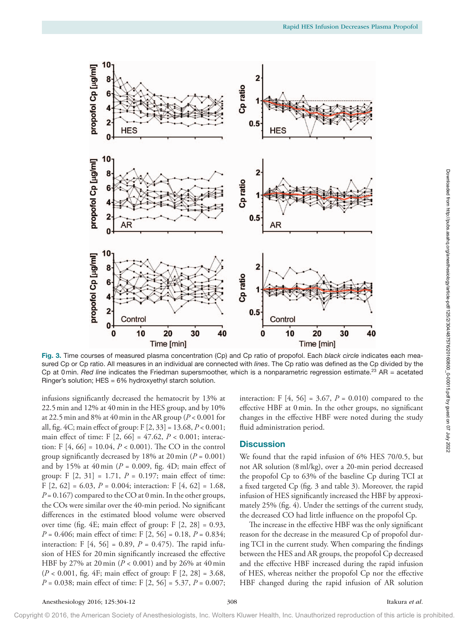

Fig. 3. Time courses of measured plasma concentration (Cp) and Cp ratio of propofol. Each *black circle* indicates each measured Cp or Cp ratio. All measures in an individual are connected with *lines*. The Cp ratio was defined as the Cp divided by the Cp at 0min. *Red line* indicates the Friedman supersmoother, which is a nonparametric regression estimate.<sup>23</sup> AR = acetated Ringer's solution; HES = 6% hydroxyethyl starch solution.

infusions significantly decreased the hematocrit by 13% at 22.5min and 12% at 40min in the HES group, and by 10% at 22.5 min and 8% at 40 min in the AR group ( $P < 0.001$  for all, fig. 4C; main effect of group: F [2, 33] = 13.68, *P* < 0.001; main effect of time: F [2, 66] = 47.62, *P* < 0.001; interaction: F [4, 66] = 10.04, *P* < 0.001). The CO in the control group significantly decreased by 18% at 20min (*P* = 0.001) and by 15% at  $40 \text{ min}$  ( $P = 0.009$ , fig.  $4D$ ; main effect of group: F  $[2, 31] = 1.71$ ,  $P = 0.197$ ; main effect of time: F [2, 62] = 6.03, *P* = 0.004; interaction: F [4, 62] = 1.68,  $P = 0.167$ ) compared to the CO at 0 min. In the other groups, the COs were similar over the 40-min period. No significant differences in the estimated blood volume were observed over time (fig. 4E; main effect of group: F [2, 28] = 0.93, *P* = 0.406; main effect of time: F [2, 56] = 0.18, *P* = 0.834; interaction: F  $[4, 56] = 0.89$ ,  $P = 0.475$ ). The rapid infusion of HES for 20min significantly increased the effective HBF by 27% at 20min (*P* < 0.001) and by 26% at 40min (*P* < 0.001, fig. 4F; main effect of group: F [2, 28] = 3.68, *P* = 0.038; main effect of time: F [2, 56] = 5.37, *P* = 0.007;

interaction: F [4, 56] = 3.67, *P* = 0.010) compared to the effective HBF at 0min. In the other groups, no significant changes in the effective HBF were noted during the study fluid administration period.

# **Discussion**

We found that the rapid infusion of 6% HES 70/0.5, but not AR solution (8ml/kg), over a 20-min period decreased the propofol Cp to 63% of the baseline Cp during TCI at a fixed targeted Cp (fig. 3 and table 3). Moreover, the rapid infusion of HES significantly increased the HBF by approximately 25% (fig. 4). Under the settings of the current study, the decreased CO had little influence on the propofol Cp.

The increase in the effective HBF was the only significant reason for the decrease in the measured Cp of propofol during TCI in the current study. When comparing the findings between the HES and AR groups, the propofol Cp decreased and the effective HBF increased during the rapid infusion of HES, whereas neither the propofol Cp nor the effective HBF changed during the rapid infusion of AR solution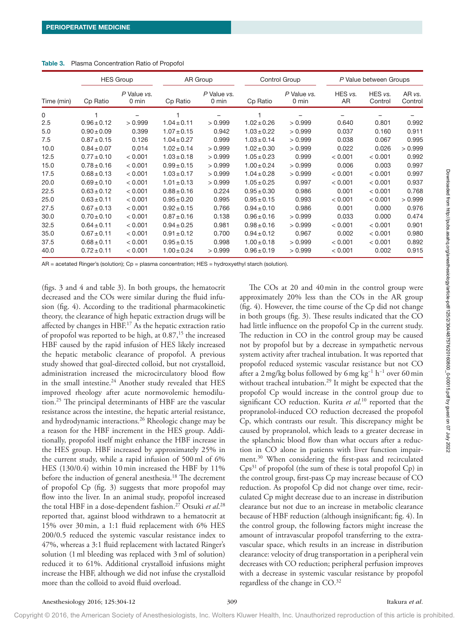|            | <b>HES Group</b> |                      | AR Group        |                      | Control Group   |                                | P Value between Groups |                    |                   |
|------------|------------------|----------------------|-----------------|----------------------|-----------------|--------------------------------|------------------------|--------------------|-------------------|
| Time (min) | Cp Ratio         | P Value vs.<br>0 min | Cp Ratio        | P Value vs.<br>0 min | Cp Ratio        | P Value vs.<br>$0 \text{ min}$ | HES vs.<br>AR          | HES vs.<br>Control | AR vs.<br>Control |
| 0          |                  |                      |                 |                      |                 |                                |                        |                    |                   |
| 2.5        | $0.96 \pm 0.12$  | > 0.999              | $1.04 \pm 0.11$ | > 0.999              | $1.02 \pm 0.26$ | > 0.999                        | 0.640                  | 0.801              | 0.992             |
| 5.0        | $0.90 \pm 0.09$  | 0.399                | $1.07 \pm 0.15$ | 0.942                | $1.03 \pm 0.22$ | > 0.999                        | 0.037                  | 0.160              | 0.911             |
| 7.5        | $0.87 \pm 0.15$  | 0.126                | $1.04 \pm 0.27$ | 0.999                | $1.03 \pm 0.14$ | > 0.999                        | 0.038                  | 0.067              | 0.995             |
| 10.0       | $0.84 \pm 0.07$  | 0.014                | $1.02 \pm 0.14$ | > 0.999              | $1.02 \pm 0.30$ | > 0.999                        | 0.022                  | 0.026              | > 0.999           |
| 12.5       | $0.77 \pm 0.10$  | < 0.001              | $1.03 \pm 0.18$ | > 0.999              | $1.05 \pm 0.23$ | 0.999                          | < 0.001                | < 0.001            | 0.992             |
| 15.0       | $0.78 \pm 0.16$  | < 0.001              | $0.99 \pm 0.15$ | > 0.999              | $1.00 \pm 0.24$ | > 0.999                        | 0.006                  | 0.003              | 0.997             |
| 17.5       | $0.68 \pm 0.13$  | < 0.001              | $1.03 \pm 0.17$ | > 0.999              | $1.04 \pm 0.28$ | > 0.999                        | < 0.001                | < 0.001            | 0.997             |
| 20.0       | $0.69 \pm 0.10$  | < 0.001              | $1.01 \pm 0.13$ | > 0.999              | $1.05 \pm 0.25$ | 0.997                          | < 0.001                | < 0.001            | 0.937             |
| 22.5       | $0.63 \pm 0.12$  | < 0.001              | $0.88 \pm 0.16$ | 0.224                | $0.95 \pm 0.30$ | 0.986                          | 0.001                  | < 0.001            | 0.768             |
| 25.0       | $0.63 \pm 0.11$  | < 0.001              | $0.95 \pm 0.20$ | 0.995                | $0.95 \pm 0.15$ | 0.993                          | < 0.001                | < 0.001            | > 0.999           |
| 27.5       | $0.67 \pm 0.13$  | < 0.001              | $0.92 \pm 0.15$ | 0.766                | $0.94 \pm 0.10$ | 0.986                          | 0.001                  | 0.000              | 0.976             |
| 30.0       | $0.70 \pm 0.10$  | < 0.001              | $0.87 \pm 0.16$ | 0.138                | $0.96 \pm 0.16$ | > 0.999                        | 0.033                  | 0.000              | 0.474             |
| 32.5       | $0.64 \pm 0.11$  | < 0.001              | $0.94 \pm 0.25$ | 0.981                | $0.98 \pm 0.16$ | > 0.999                        | < 0.001                | < 0.001            | 0.901             |
| 35.0       | $0.67 \pm 0.11$  | < 0.001              | $0.91 \pm 0.12$ | 0.700                | $0.94 \pm 0.12$ | 0.967                          | 0.002                  | < 0.001            | 0.980             |
| 37.5       | $0.68 \pm 0.11$  | < 0.001              | $0.95 \pm 0.15$ | 0.998                | $1.00 \pm 0.18$ | > 0.999                        | < 0.001                | < 0.001            | 0.892             |
| 40.0       | $0.72 \pm 0.11$  | < 0.001              | $1.00 \pm 0.24$ | >0.999               | $0.96 \pm 0.19$ | > 0.999                        | < 0.001                | 0.002              | 0.915             |

#### Table 3. Plasma Concentration Ratio of Propofol

AR = acetated Ringer's (solution); Cp = plasma concentration; HES = hydroxyethyl starch (solution).

(figs. 3 and 4 and table 3). In both groups, the hematocrit decreased and the COs were similar during the fluid infusion (fig. 4). According to the traditional pharmacokinetic theory, the clearance of high hepatic extraction drugs will be affected by changes in HBF. 17 As the hepatic extraction ratio of propofol was reported to be high, at  $0.87$ ,<sup>15</sup> the increased HBF caused by the rapid infusion of HES likely increased the hepatic metabolic clearance of propofol. A previous study showed that goal-directed colloid, but not crystalloid, administration increased the microcirculatory blood flow in the small intestine.<sup>24</sup> Another study revealed that HES improved rheology after acute normovolemic hemodilution.25 The principal determinants of HBF are the vascular resistance across the intestine, the hepatic arterial resistance, and hydrodynamic interactions.26 Rheologic change may be a reason for the HBF increment in the HES group. Additionally, propofol itself might enhance the HBF increase in the HES group. HBF increased by approximately 25% in the current study, while a rapid infusion of 500ml of 6% HES (130/0.4) within 10min increased the HBF by 11% before the induction of general anesthesia.<sup>18</sup> The decrement of propofol Cp (fig. 3) suggests that more propofol may flow into the liver. In an animal study, propofol increased the total HBF in a dose-dependent fashion.27 Otsuki *et al*. 28 reported that, against blood withdrawn to a hematocrit at 15% over 30min, a 1:1 fluid replacement with 6% HES 200/0.5 reduced the systemic vascular resistance index to 47%, whereas a 3:1 fluid replacement with lactated Ringer's solution (1ml bleeding was replaced with 3ml of solution) reduced it to 61%. Additional crystalloid infusions might increase the HBF, although we did not infuse the crystalloid more than the colloid to avoid fluid overload.

The COs at 20 and 40min in the control group were approximately 20% less than the COs in the AR group (fig. 4). However, the time course of the Cp did not change in both groups (fig. 3). These results indicated that the CO had little influence on the propofol Cp in the current study. The reduction in CO in the control group may be caused not by propofol but by a decrease in sympathetic nervous system activity after tracheal intubation. It was reported that propofol reduced systemic vascular resistance but not CO after a 2mg/kg bolus followed by 6mg kg−1 h−1 over 60min without tracheal intubation.<sup>29</sup> It might be expected that the propofol Cp would increase in the control group due to significant CO reduction. Kurita *et al*. 10 reported that the propranolol-induced CO reduction decreased the propofol Cp, which contrasts our result. This discrepancy might be caused by propranolol, which leads to a greater decrease in the splanchnic blood flow than what occurs after a reduction in CO alone in patients with liver function impairment.30 When considering the first-pass and recirculated  $Cps<sup>31</sup>$  of propofol (the sum of these is total propofol  $Cp$ ) in the control group, first-pass Cp may increase because of CO reduction. As propofol Cp did not change over time, recirculated Cp might decrease due to an increase in distribution clearance but not due to an increase in metabolic clearance because of HBF reduction (although insignificant; fig. 4). In the control group, the following factors might increase the amount of intravascular propofol transferring to the extravascular space, which results in an increase in distribution clearance: velocity of drug transportation in a peripheral vein decreases with CO reduction; peripheral perfusion improves with a decrease in systemic vascular resistance by propofol regardless of the change in CO. 32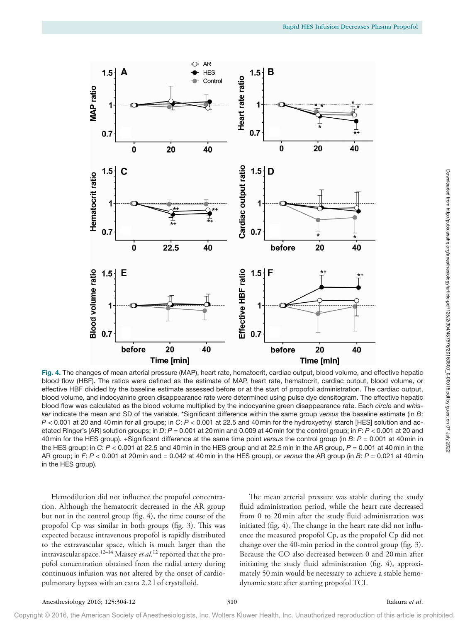

Fig. 4. The changes of mean arterial pressure (MAP), heart rate, hematocrit, cardiac output, blood volume, and effective hepatic blood flow (HBF). The ratios were defined as the estimate of MAP, heart rate, hematocrit, cardiac output, blood volume, or effective HBF divided by the baseline estimate assessed before or at the start of propofol administration. The cardiac output, blood volume, and indocyanine green disappearance rate were determined using pulse dye densitogram. The effective hepatic blood flow was calculated as the blood volume multiplied by the indocyanine green disappearance rate. Each *circle* and *whisker* indicate the mean and SD of the variable. \*Significant difference within the same group *versus* the baseline estimate (in *B*: *P* < 0.001 at 20 and 40min for all groups; in *C*: *P* < 0.001 at 22.5 and 40min for the hydroxyethyl starch [HES] solution and acetated Ringer's [AR] solution groups; in *D*: *P* = 0.001 at 20min and 0.009 at 40min for the control group; in *F*: *P* < 0.001 at 20 and 40min for the HES group). +Significant difference at the same time point *versus* the control group (in *B*: *P* = 0.001 at 40min in the HES group; in *C*: *P* < 0.001 at 22.5 and 40min in the HES group and at 22.5min in the AR group, *P* = 0.001 at 40min in the AR group; in *F*: *P* < 0.001 at 20min and = 0.042 at 40min in the HES group), or *versus* the AR group (in *B*: *P* = 0.021 at 40min in the HES group).

Hemodilution did not influence the propofol concentration. Although the hematocrit decreased in the AR group but not in the control group (fig. 4), the time course of the propofol Cp was similar in both groups (fig. 3). This was expected because intravenous propofol is rapidly distributed to the extravascular space, which is much larger than the intravascular space.12–14 Massey *et al*. 12 reported that the propofol concentration obtained from the radial artery during continuous infusion was not altered by the onset of cardiopulmonary bypass with an extra 2.2 l of crystalloid.

The mean arterial pressure was stable during the study fluid administration period, while the heart rate decreased from 0 to 20min after the study fluid administration was initiated (fig. 4). The change in the heart rate did not influence the measured propofol Cp, as the propofol Cp did not change over the 40-min period in the control group (fig. 3). Because the CO also decreased between 0 and 20min after initiating the study fluid administration (fig. 4), approximately 50min would be necessary to achieve a stable hemodynamic state after starting propofol TCI.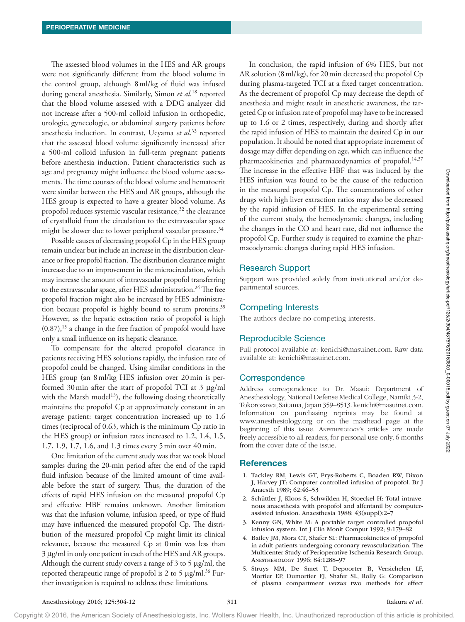The assessed blood volumes in the HES and AR groups were not significantly different from the blood volume in the control group, although 8ml/kg of fluid was infused during general anesthesia. Similarly, Simon *et al*. 18 reported that the blood volume assessed with a DDG analyzer did not increase after a 500-ml colloid infusion in orthopedic, urologic, gynecologic, or abdominal surgery patients before anesthesia induction. In contrast, Ueyama *et al*. 33 reported that the assessed blood volume significantly increased after a 500-ml colloid infusion in full-term pregnant patients before anesthesia induction. Patient characteristics such as age and pregnancy might influence the blood volume assessments. The time courses of the blood volume and hematocrit were similar between the HES and AR groups, although the HES group is expected to have a greater blood volume. As propofol reduces systemic vascular resistance,<sup>32</sup> the clearance of crystalloid from the circulation to the extravascular space might be slower due to lower peripheral vascular pressure.<sup>34</sup>

Possible causes of decreasing propofol Cp in the HES group remain unclear but include an increase in the distribution clearance or free propofol fraction. The distribution clearance might increase due to an improvement in the microcirculation, which may increase the amount of intravascular propofol transferring to the extravascular space, after HES administration.<sup>24</sup> The free propofol fraction might also be increased by HES administration because propofol is highly bound to serum proteins.<sup>35</sup> However, as the hepatic extraction ratio of propofol is high  $(0.87)$ ,<sup>15</sup> a change in the free fraction of propofol would have only a small influence on its hepatic clearance.

To compensate for the altered propofol clearance in patients receiving HES solutions rapidly, the infusion rate of propofol could be changed. Using similar conditions in the HES group (an 8ml/kg HES infusion over 20min is performed 30min after the start of propofol TCI at 3 μg/ml with the Marsh model<sup>13</sup>), the following dosing theoretically maintains the propofol Cp at approximately constant in an average patient: target concentration increased up to 1.6 times (reciprocal of 0.63, which is the minimum Cp ratio in the HES group) or infusion rates increased to 1.2, 1.4, 1.5, 1.7, 1.9, 1.7, 1.6, and 1.3 times every 5min over 40min.

One limitation of the current study was that we took blood samples during the 20-min period after the end of the rapid fluid infusion because of the limited amount of time available before the start of surgery. Thus, the duration of the effects of rapid HES infusion on the measured propofol Cp and effective HBF remains unknown. Another limitation was that the infusion volume, infusion speed, or type of fluid may have influenced the measured propofol Cp. The distribution of the measured propofol Cp might limit its clinical relevance, because the measured Cp at 0min was less than 3 μg/ml in only one patient in each of the HES and AR groups. Although the current study covers a range of  $3$  to  $5 \mu g/ml$ , the reported therapeutic range of propofol is 2 to 5  $\mu$ g/ml.<sup>36</sup> Further investigation is required to address these limitations.

In conclusion, the rapid infusion of 6% HES, but not AR solution (8ml/kg), for 20min decreased the propofol Cp during plasma-targeted TCI at a fixed target concentration. As the decrement of propofol Cp may decrease the depth of anesthesia and might result in anesthetic awareness, the targeted Cp or infusion rate of propofol may have to be increased up to 1.6 or 2 times, respectively, during and shortly after the rapid infusion of HES to maintain the desired Cp in our population. It should be noted that appropriate increment of dosage may differ depending on age, which can influence the pharmacokinetics and pharmacodynamics of propofol.<sup>14,37</sup> The increase in the effective HBF that was induced by the HES infusion was found to be the cause of the reduction in the measured propofol Cp. The concentrations of other drugs with high liver extraction ratios may also be decreased by the rapid infusion of HES. In the experimental setting of the current study, the hemodynamic changes, including the changes in the CO and heart rate, did not influence the propofol Cp. Further study is required to examine the pharmacodynamic changes during rapid HES infusion.

# Research Support

Support was provided solely from institutional and/or departmental sources.

## Competing Interests

The authors declare no competing interests.

# Reproducible Science

Full protocol available at: [kenichi@masuinet.com.](mailto:kenichi@masuinet.com) Raw data available at: [kenichi@masuinet.com.](mailto:kenichi@masuinet.com)

## **Correspondence**

Address correspondence to Dr. Masui: Department of Anesthesiology, National Defense Medical College, Namiki 3-2, Tokorozawa, Saitama, Japan 359–8513. [kenichi@masuinet.com](mailto:kenichi@masuinet.com). Information on purchasing reprints may be found at [www.anesthesiology.org](http://www.anesthesiology.org) or on the masthead page at the beginning of this issue. Anesthesiology's articles are made freely accessible to all readers, for personal use only, 6 months from the cover date of the issue.

## **References**

- 1. Tackley RM, Lewis GT, Prys-Roberts C, Boaden RW, Dixon J, Harvey JT: Computer controlled infusion of propofol. Br J Anaesth 1989; 62:46–53
- 2. Schüttler J, Kloos S, Schwilden H, Stoeckel H: Total intravenous anaesthesia with propofol and alfentanil by computerassisted infusion. Anaesthesia 1988; 43(suppl):2–7
- 3. Kenny GN, White M: A portable target controlled propofol infusion system. Int J Clin Monit Comput 1992; 9:179–82
- 4. Bailey JM, Mora CT, Shafer SL: Pharmacokinetics of propofol in adult patients undergoing coronary revascularization. The Multicenter Study of Perioperative Ischemia Research Group. Anesthesiology 1996; 84:1288–97
- 5. Struys MM, De Smet T, Depoorter B, Versichelen LF, Mortier EP, Dumortier FJ, Shafer SL, Rolly G: Comparison of plasma compartment *versus* two methods for effect